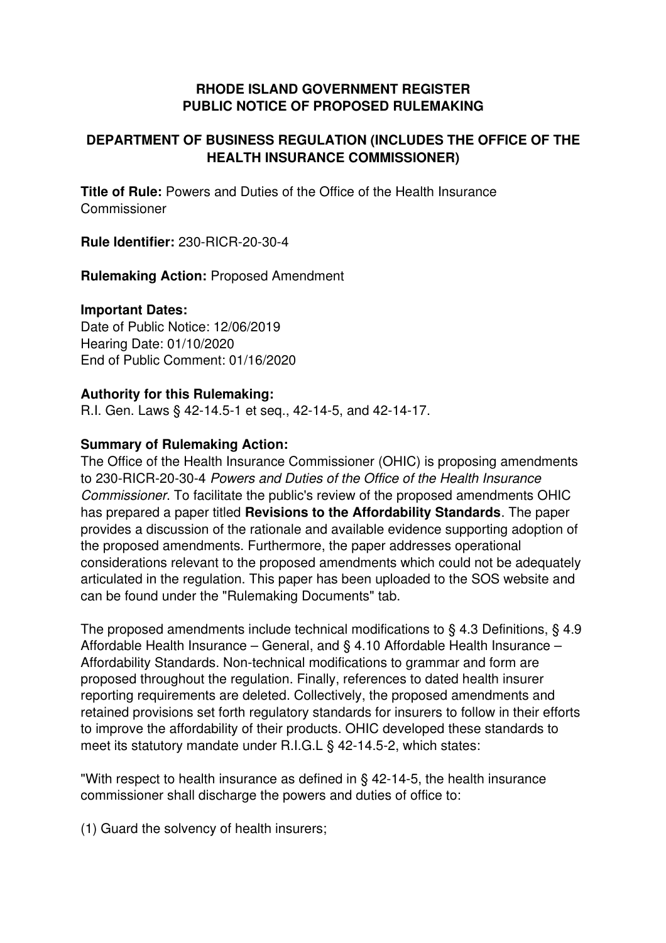### **RHODE ISLAND GOVERNMENT REGISTER PUBLIC NOTICE OF PROPOSED RULEMAKING**

# **DEPARTMENT OF BUSINESS REGULATION (INCLUDES THE OFFICE OF THE HEALTH INSURANCE COMMISSIONER)**

**Title of Rule:** Powers and Duties of the Office of the Health Insurance Commissioner

**Rule Identifier: 230-RICR-20-30-4** 

**Rulemaking Action:** Proposed Amendment

#### **Important Dates:**

Date of Public Notice: 12/06/2019 Hearing Date: 01/10/2020 End of Public Comment: 01/16/2020

#### **Authority for this Rulemaking:**

R.I. Gen. Laws § 42-14.5-1 et seq., 42-14-5, and 42-14-17.

### **Summary of Rulemaking Action:**

The Office of the Health Insurance Commissioner (OHIC) is proposing amendments to 230-RICR-20-30-4 *Powers and Duties of the Office of the Health Insurance Commissioner*. To facilitate the public's review of the proposed amendments OHIC has prepared a paper titled **Revisions to the Affordability Standards**. The paper provides a discussion of the rationale and available evidence supporting adoption of the proposed amendments. Furthermore, the paper addresses operational considerations relevant to the proposed amendments which could not be adequately articulated in the regulation. This paper has been uploaded to the SOS website and can be found under the "Rulemaking Documents" tab.

The proposed amendments include technical modifications to § 4.3 Definitions, § 4.9 Affordable Health Insurance – General, and § 4.10 Affordable Health Insurance – Affordability Standards. Non-technical modifications to grammar and form are proposed throughout the regulation. Finally, references to dated health insurer reporting requirements are deleted. Collectively, the proposed amendments and retained provisions set forth regulatory standards for insurers to follow in their efforts to improve the affordability of their products. OHIC developed these standards to meet its statutory mandate under R.I.G.L § 42-14.5-2, which states:

"With respect to health insurance as defined in  $\S$  42-14-5, the health insurance commissioner shall discharge the powers and duties of office to:

(1) Guard the solvency of health insurers;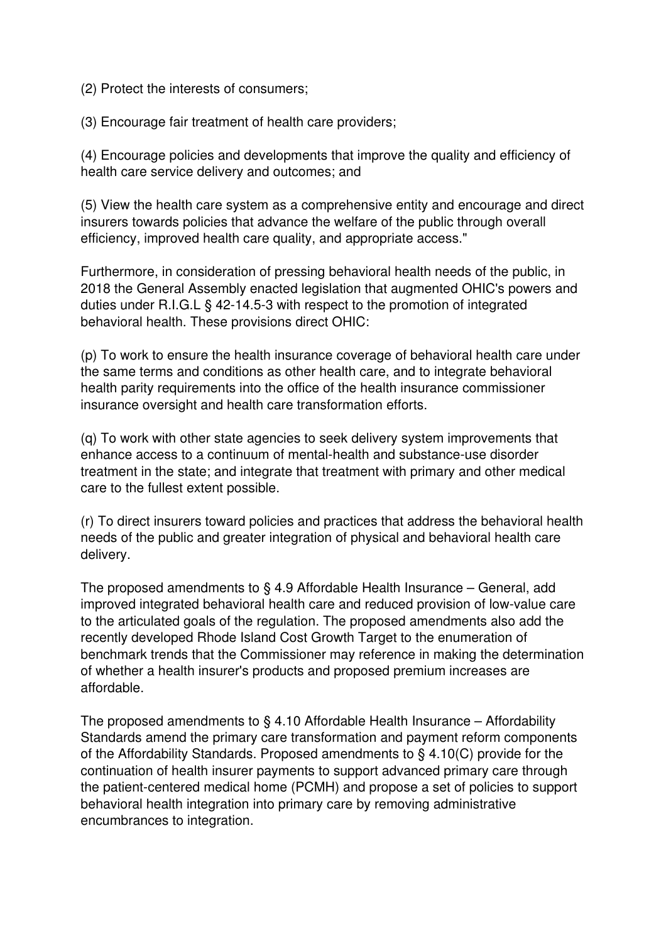(2) Protect the interests of consumers;

(3) Encourage fair treatment of health care providers;

(4) Encourage policies and developments that improve the quality and efficiency of health care service delivery and outcomes; and

(5) View the health care system as a comprehensive entity and encourage and direct insurers towards policies that advance the welfare of the public through overall efficiency, improved health care quality, and appropriate access."

Furthermore, in consideration of pressing behavioral health needs of the public, in 2018 the General Assembly enacted legislation that augmented OHIC's powers and duties under R.I.G.L § 42-14.5-3 with respect to the promotion of integrated behavioral health. These provisions direct OHIC:

(p) To work to ensure the health insurance coverage of behavioral health care under the same terms and conditions as other health care, and to integrate behavioral health parity requirements into the office of the health insurance commissioner insurance oversight and health care transformation efforts.

(q) To work with other state agencies to seek delivery system improvements that enhance access to a continuum of mental-health and substance-use disorder treatment in the state; and integrate that treatment with primary and other medical care to the fullest extent possible.

(r) To direct insurers toward policies and practices that address the behavioral health needs of the public and greater integration of physical and behavioral health care delivery.

The proposed amendments to § 4.9 Affordable Health Insurance – General, add improved integrated behavioral health care and reduced provision of low-value care to the articulated goals of the regulation. The proposed amendments also add the recently developed Rhode Island Cost Growth Target to the enumeration of benchmark trends that the Commissioner may reference in making the determination of whether a health insurer's products and proposed premium increases are affordable.

The proposed amendments to  $\S$  4.10 Affordable Health Insurance – Affordability Standards amend the primary care transformation and payment reform components of the Affordability Standards. Proposed amendments to § 4.10(C) provide for the continuation of health insurer payments to support advanced primary care through the patient-centered medical home (PCMH) and propose a set of policies to support behavioral health integration into primary care by removing administrative encumbrances to integration.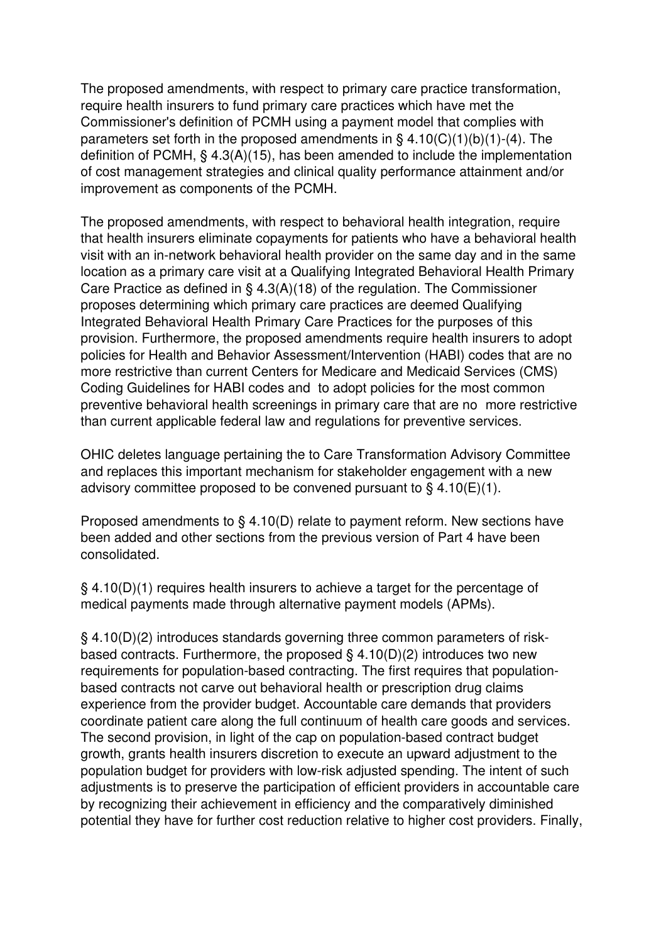The proposed amendments, with respect to primary care practice transformation, require health insurers to fund primary care practices which have met the Commissioner's definition of PCMH using a payment model that complies with parameters set forth in the proposed amendments in  $\S$  4.10(C)(1)(b)(1)-(4). The definition of PCMH, § 4.3(A)(15), has been amended to include the implementation of cost management strategies and clinical quality performance attainment and/or improvement as components of the PCMH.

The proposed amendments, with respect to behavioral health integration, require that health insurers eliminate copayments for patients who have a behavioral health visit with an in-network behavioral health provider on the same day and in the same location as a primary care visit at a Qualifying Integrated Behavioral Health Primary Care Practice as defined in § 4.3(A)(18) of the regulation. The Commissioner proposes determining which primary care practices are deemed Qualifying Integrated Behavioral Health Primary Care Practices for the purposes of this provision. Furthermore, the proposed amendments require health insurers to adopt policies for Health and Behavior Assessment/Intervention (HABI) codes that are no more restrictive than current Centers for Medicare and Medicaid Services (CMS) Coding Guidelines for HABI codes and to adopt policies for the most common preventive behavioral health screenings in primary care that are no more restrictive than current applicable federal law and regulations for preventive services.

OHIC deletes language pertaining the to Care Transformation Advisory Committee and replaces this important mechanism for stakeholder engagement with a new advisory committee proposed to be convened pursuant to  $\S$  4.10(E)(1).

Proposed amendments to § 4.10(D) relate to payment reform. New sections have been added and other sections from the previous version of Part 4 have been consolidated.

§ 4.10(D)(1) requires health insurers to achieve a target for the percentage of medical payments made through alternative payment models (APMs).

§ 4.10(D)(2) introduces standards governing three common parameters of riskbased contracts. Furthermore, the proposed  $\S$  4.10(D)(2) introduces two new requirements for population-based contracting. The first requires that populationbased contracts not carve out behavioral health or prescription drug claims experience from the provider budget. Accountable care demands that providers coordinate patient care along the full continuum of health care goods and services. The second provision, in light of the cap on population-based contract budget growth, grants health insurers discretion to execute an upward adjustment to the population budget for providers with lowrisk adjusted spending. The intent of such adjustments is to preserve the participation of efficient providers in accountable care by recognizing their achievement in efficiency and the comparatively diminished potential they have for further cost reduction relative to higher cost providers. Finally,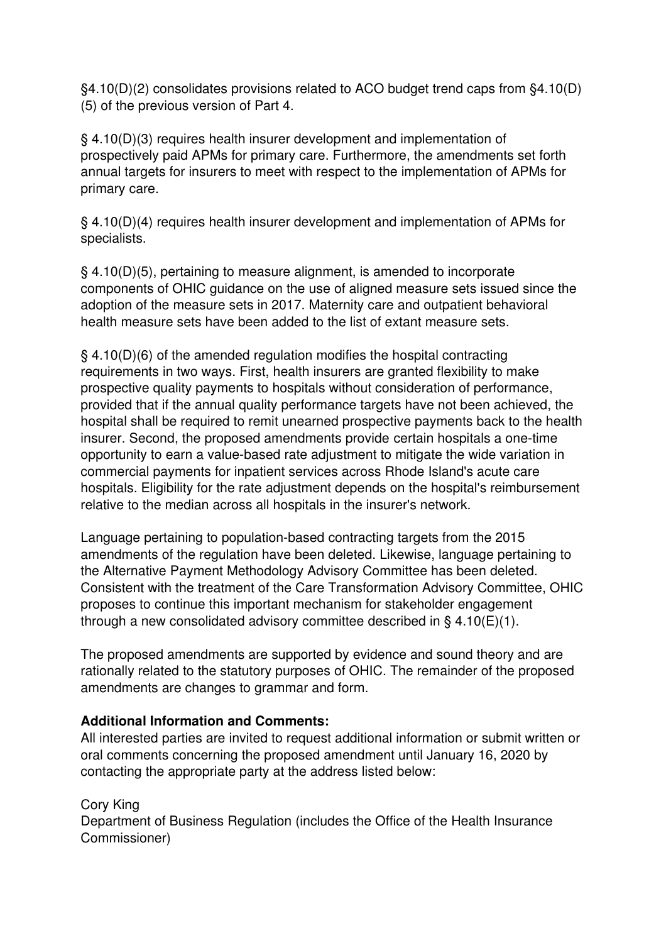§4.10(D)(2) consolidates provisions related to ACO budget trend caps from §4.10(D) (5) of the previous version of Part 4.

§ 4.10(D)(3) requires health insurer development and implementation of prospectively paid APMs for primary care. Furthermore, the amendments set forth annual targets for insurers to meet with respect to the implementation of APMs for primary care.

§ 4.10(D)(4) requires health insurer development and implementation of APMs for specialists.

§ 4.10(D)(5), pertaining to measure alignment, is amended to incorporate components of OHIC guidance on the use of aligned measure sets issued since the adoption of the measure sets in 2017. Maternity care and outpatient behavioral health measure sets have been added to the list of extant measure sets.

§ 4.10(D)(6) of the amended regulation modifies the hospital contracting requirements in two ways. First, health insurers are granted flexibility to make prospective quality payments to hospitals without consideration of performance, provided that if the annual quality performance targets have not been achieved, the hospital shall be required to remit unearned prospective payments back to the health insurer. Second, the proposed amendments provide certain hospitals a one-time opportunity to earn a value-based rate adjustment to mitigate the wide variation in commercial payments for inpatient services across Rhode Island's acute care hospitals. Eligibility for the rate adjustment depends on the hospital's reimbursement relative to the median across all hospitals in the insurer's network.

Language pertaining to population-based contracting targets from the 2015 amendments of the regulation have been deleted. Likewise, language pertaining to the Alternative Payment Methodology Advisory Committee has been deleted. Consistent with the treatment of the Care Transformation Advisory Committee, OHIC proposes to continue this important mechanism for stakeholder engagement through a new consolidated advisory committee described in  $\S$  4.10(E)(1).

The proposed amendments are supported by evidence and sound theory and are rationally related to the statutory purposes of OHIC. The remainder of the proposed amendments are changes to grammar and form.

## **Additional Information and Comments:**

All interested parties are invited to request additional information or submit written or oral comments concerning the proposed amendment until January 16, 2020 by contacting the appropriate party at the address listed below:

Cory King Department of Business Regulation (includes the Office of the Health Insurance Commissioner)